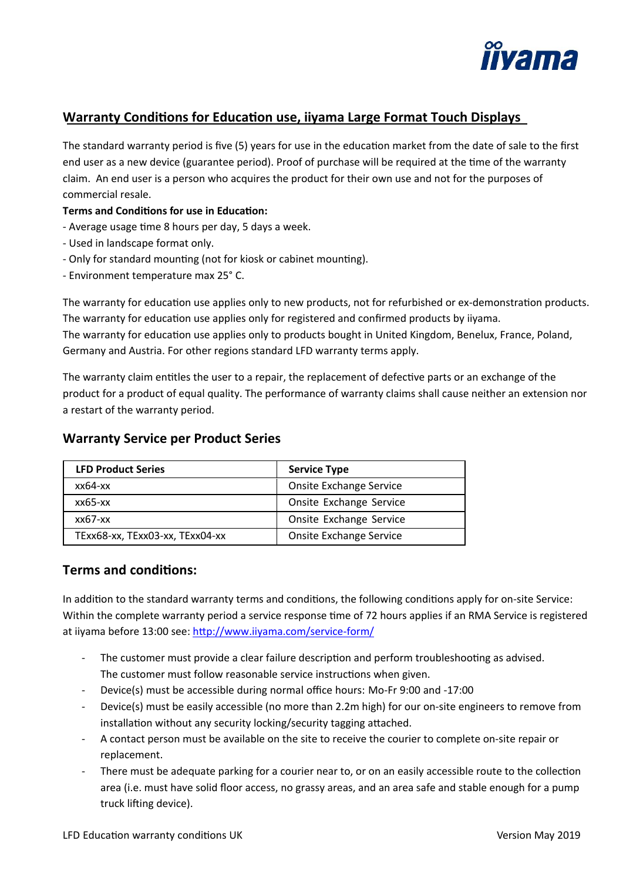

## **Warranty Conditions for Education use, iiyama Large Format Touch Displays**

The standard warranty period is five (5) years for use in the education market from the date of sale to the first end user as a new device (guarantee period). Proof of purchase will be required at the time of the warranty claim. An end user is a person who acquires the product for their own use and not for the purposes of commercial resale.

#### **Terms and Conditions for use in Education:**

- Average usage time 8 hours per day, 5 days a week.
- Used in landscape format only.
- Only for standard mounting (not for kiosk or cabinet mounting).
- Environment temperature max 25° C.

The warranty for education use applies only to new products, not for refurbished or ex-demonstration products. The warranty for education use applies only for registered and confirmed products by iiyama. The warranty for education use applies only to products bought in United Kingdom, Benelux, France, Poland, Germany and Austria. For other regions standard LFD warranty terms apply.

The warranty claim entitles the user to a repair, the replacement of defective parts or an exchange of the product for a product of equal quality. The performance of warranty claims shall cause neither an extension nor a restart of the warranty period.

# LFD Product Series **Service Type** xx64-xx Onsite Exchange Service xx65-xx Onsite Exchange Service xx67-xx <br>
Onsite Exchange Service TExx68-xx, TExx03-xx, TExx04-xx | Onsite Exchange Service

## **Warranty Service per Product Series**

## **Terms and condi�ons:**

In addition to the standard warranty terms and conditions, the following conditions apply for on-site Service: Within the complete warranty period a service response time of 72 hours applies if an RMA Service is registered at iiyama before 13:00 see: http://www.iiyama.com/service-form/

- The customer must provide a clear failure description and perform troubleshooting as advised. The customer must follow reasonable service instructions when given.
- Device(s) must be accessible during normal office hours: Mo-Fr 9:00 and -17:00
- Device(s) must be easily accessible (no more than 2.2m high) for our on-site engineers to remove from installation without any security locking/security tagging attached.
- A contact person must be available on the site to receive the courier to complete on-site repair or replacement.
- There must be adequate parking for a courier near to, or on an easily accessible route to the collection area (i.e. must have solid floor access, no grassy areas, and an area safe and stable enough for a pump truck lifting device).